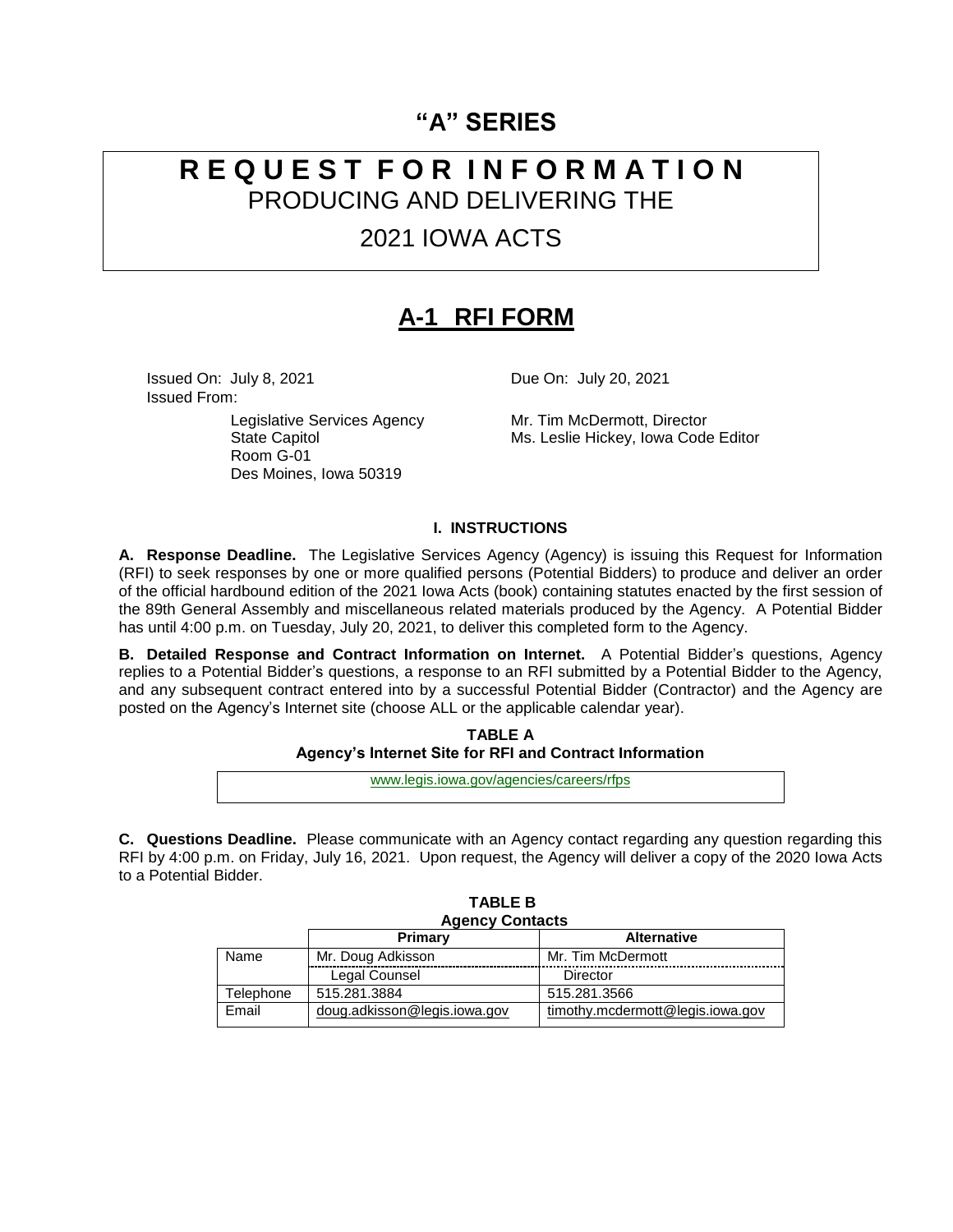## **"A" SERIES**

## **R E Q U E S T F O R I N F O R M A T I O N** PRODUCING AND DELIVERING THE

## 2021 IOWA ACTS

# **A-1 RFI FORM**

**Issued On: July 8, 2021 Due On: July 20, 2021** Issued From:

> Legislative Services Agency Mr. Tim McDermott, Director<br>State Capitol Ms. Leslie Hickey, Iowa Code Room G-01 Des Moines, Iowa 50319

Ms. Leslie Hickey, Iowa Code Editor

#### **I. INSTRUCTIONS**

**A. Response Deadline.** The Legislative Services Agency (Agency) is issuing this Request for Information (RFI) to seek responses by one or more qualified persons (Potential Bidders) to produce and deliver an order of the official hardbound edition of the 2021 Iowa Acts (book) containing statutes enacted by the first session of the 89th General Assembly and miscellaneous related materials produced by the Agency. A Potential Bidder has until 4:00 p.m. on Tuesday, July 20, 2021, to deliver this completed form to the Agency.

**B. Detailed Response and Contract Information on Internet.** A Potential Bidder's questions, Agency replies to a Potential Bidder's questions, a response to an RFI submitted by a Potential Bidder to the Agency, and any subsequent contract entered into by a successful Potential Bidder (Contractor) and the Agency are posted on the Agency's Internet site (choose ALL or the applicable calendar year).

> **TABLE A Agency's Internet Site for RFI and Contract Information**

www.legis.iowa.gov/agencies/careers/rfps

**C. Questions Deadline.** Please communicate with an Agency contact regarding any question regarding this RFI by 4:00 p.m. on Friday, July 16, 2021. Upon request, the Agency will deliver a copy of the 2020 Iowa Acts to a Potential Bidder.

**TABLE B**

| <b>Agency Contacts</b> |                              |                                  |  |  |
|------------------------|------------------------------|----------------------------------|--|--|
|                        | Primary                      | <b>Alternative</b>               |  |  |
| Name                   | Mr. Doug Adkisson            | Mr. Tim McDermott                |  |  |
|                        | Legal Counsel                | Director                         |  |  |
| Telephone              | 515.281.3884                 | 515.281.3566                     |  |  |
| Email                  | doug.adkisson@legis.iowa.gov | timothy.mcdermott@legis.iowa.gov |  |  |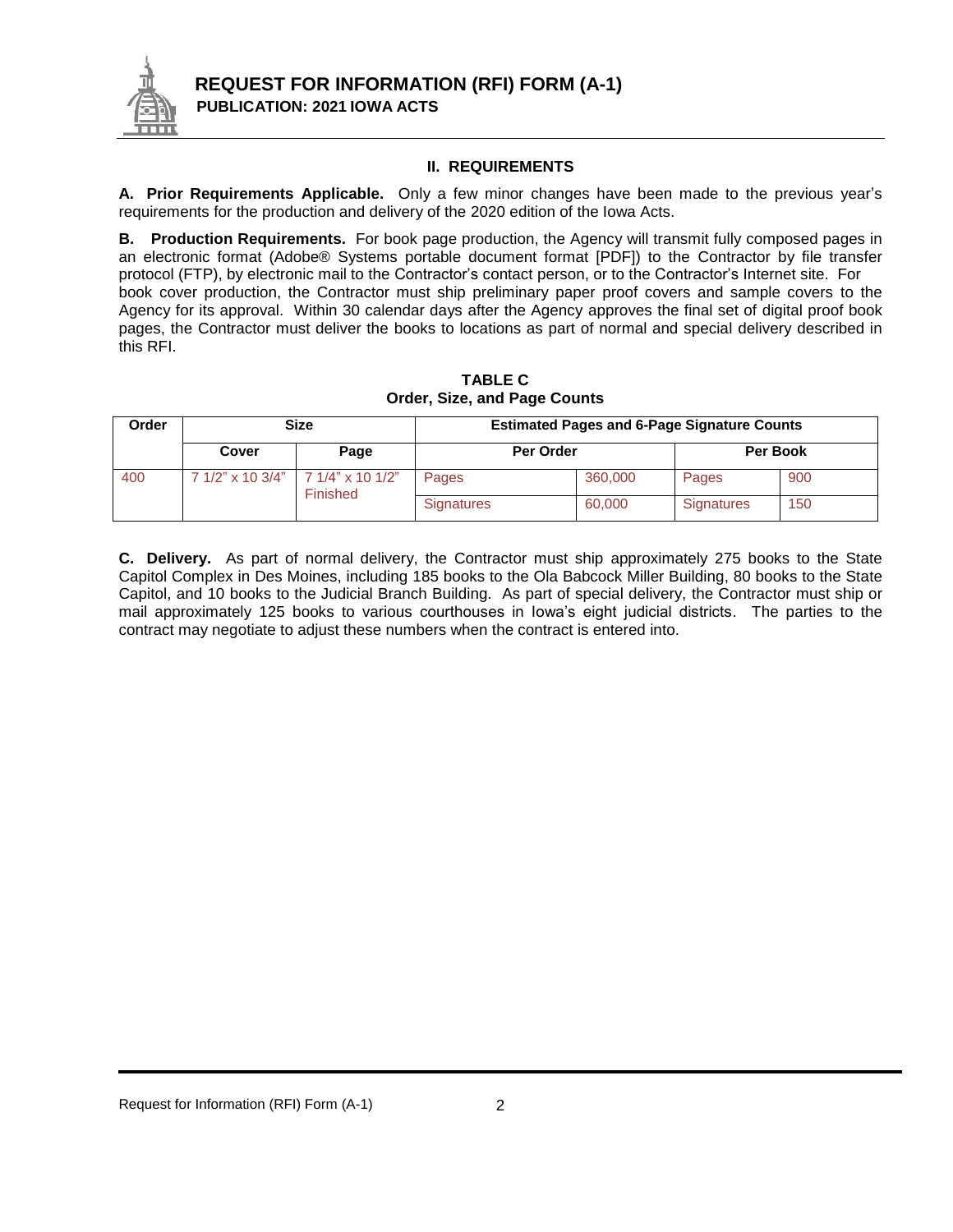

## **II. REQUIREMENTS**

**A. Prior Requirements Applicable.** Only a few minor changes have been made to the previous year's requirements for the production and delivery of the 2020 edition of the Iowa Acts.

**B. Production Requirements.** For book page production, the Agency will transmit fully composed pages in an electronic format (Adobe® Systems portable document format [PDF]) to the Contractor by file transfer protocol (FTP), by electronic mail to the Contractor's contact person, or to the Contractor's Internet site. For book cover production, the Contractor must ship preliminary paper proof covers and sample covers to the Agency for its approval. Within 30 calendar days after the Agency approves the final set of digital proof book pages, the Contractor must deliver the books to locations as part of normal and special delivery described in this RFI.

| <b>Size</b><br>Order |                  |                              | <b>Estimated Pages and 6-Page Signature Counts</b> |         |                   |     |  |
|----------------------|------------------|------------------------------|----------------------------------------------------|---------|-------------------|-----|--|
|                      | Cover            | Page                         | Per Order                                          |         | Per Book          |     |  |
| 400                  | 7 1/2" x 10 3/4" | 7 1/4" x 10 1/2"<br>Finished | Pages                                              | 360,000 | Pages             | 900 |  |
|                      |                  |                              | <b>Signatures</b>                                  | 60,000  | <b>Signatures</b> | 150 |  |

**TABLE C Order, Size, and Page Counts**

**C. Delivery.** As part of normal delivery, the Contractor must ship approximately 275 books to the State Capitol Complex in Des Moines, including 185 books to the Ola Babcock Miller Building, 80 books to the State Capitol, and 10 books to the Judicial Branch Building. As part of special delivery, the Contractor must ship or mail approximately 125 books to various courthouses in Iowa's eight judicial districts. The parties to the contract may negotiate to adjust these numbers when the contract is entered into.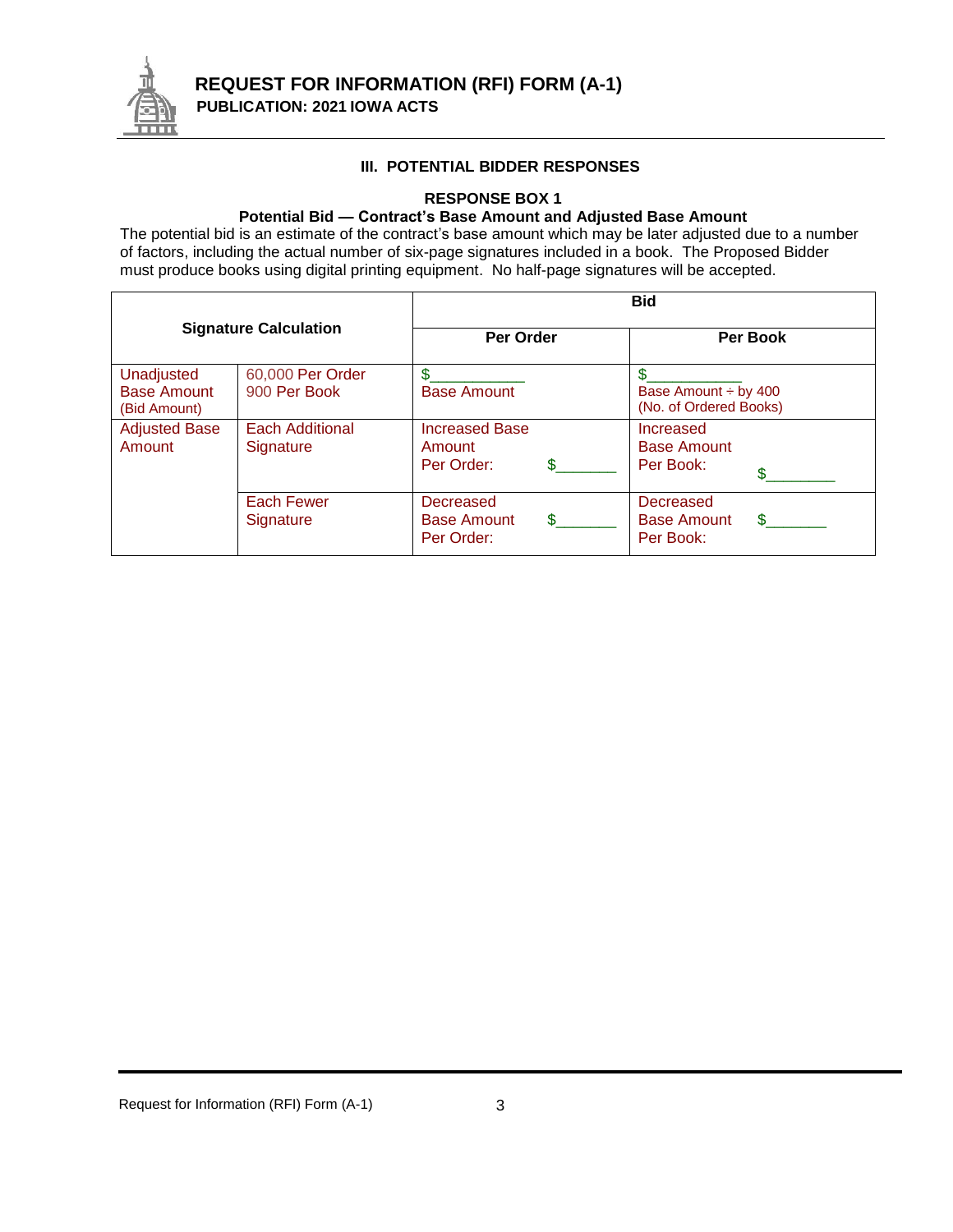

### **III. POTENTIAL BIDDER RESPONSES**

#### **RESPONSE BOX 1**

## **Potential Bid — Contract's Base Amount and Adjusted Base Amount**

The potential bid is an estimate of the contract's base amount which may be later adjusted due to a number of factors, including the actual number of six-page signatures included in a book. The Proposed Bidder must produce books using digital printing equipment. No half-page signatures will be accepted.

|                                                  |                                     | <b>Bid</b>                                    |                                                    |  |  |
|--------------------------------------------------|-------------------------------------|-----------------------------------------------|----------------------------------------------------|--|--|
| <b>Signature Calculation</b>                     |                                     | Per Order                                     | <b>Per Book</b>                                    |  |  |
| Unadjusted<br><b>Base Amount</b><br>(Bid Amount) | 60,000 Per Order<br>900 Per Book    | \$<br><b>Base Amount</b>                      | Base Amount ÷ by 400<br>(No. of Ordered Books)     |  |  |
| <b>Adjusted Base</b><br>Amount                   | <b>Each Additional</b><br>Signature | <b>Increased Base</b><br>Amount<br>Per Order: | Increased<br><b>Base Amount</b><br>Per Book:       |  |  |
|                                                  | Each Fewer<br>Signature             | Decreased<br><b>Base Amount</b><br>Per Order: | Decreased<br><b>Base Amount</b><br>Я.<br>Per Book: |  |  |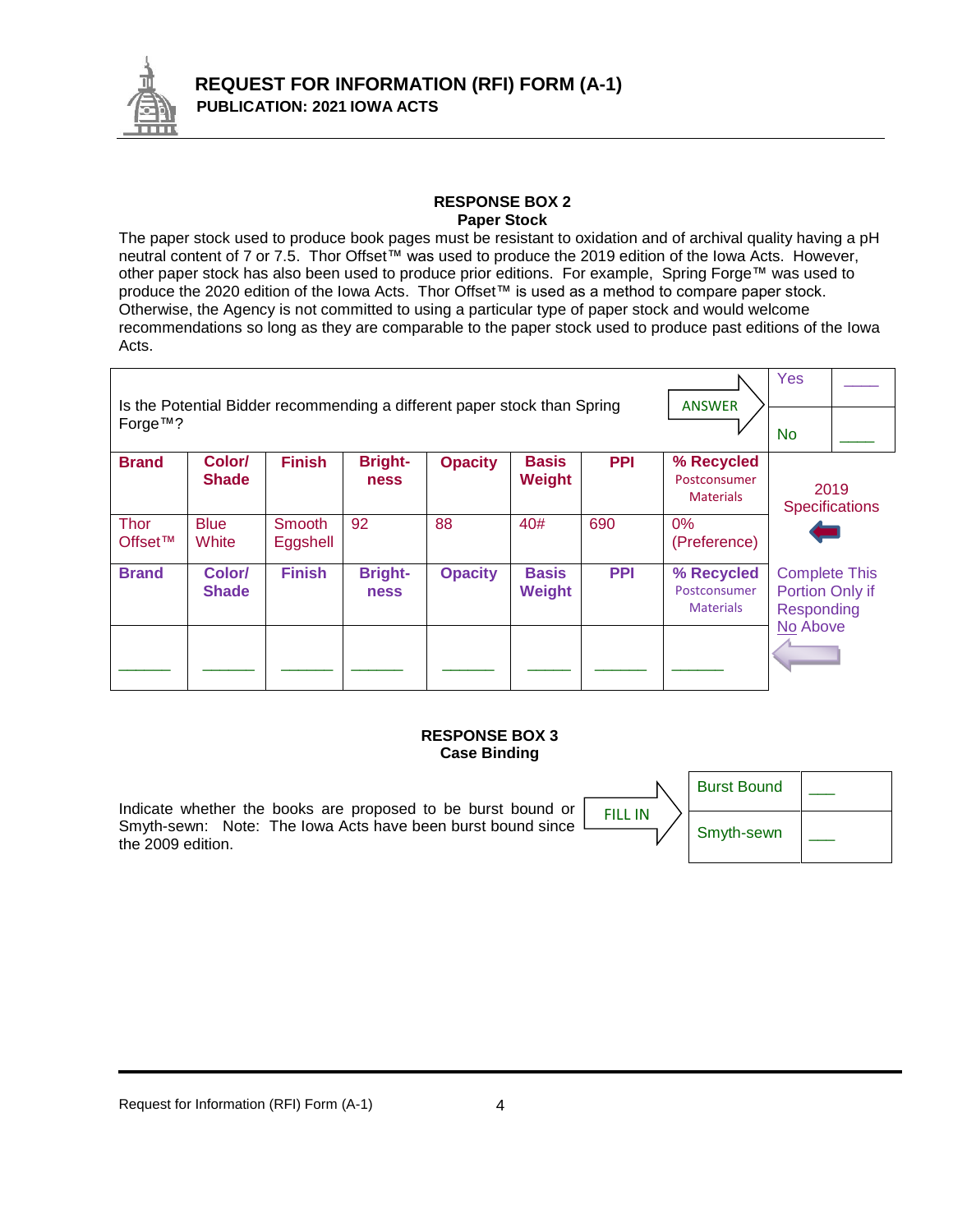

#### **RESPONSE BOX 2 Paper Stock**

The paper stock used to produce book pages must be resistant to oxidation and of archival quality having a pH neutral content of 7 or 7.5. Thor Offset™ was used to produce the 2019 edition of the Iowa Acts. However, other paper stock has also been used to produce prior editions. For example, Spring Forge™ was used to produce the 2020 edition of the Iowa Acts. Thor Offset™ is used as a method to compare paper stock. Otherwise, the Agency is not committed to using a particular type of paper stock and would welcome recommendations so long as they are comparable to the paper stock used to produce past editions of the Iowa Acts.

|                                                                                     |                        |                    |                               |                |                        |            | <b>ANSWER</b>                                  | Yes                                                   |  |
|-------------------------------------------------------------------------------------|------------------------|--------------------|-------------------------------|----------------|------------------------|------------|------------------------------------------------|-------------------------------------------------------|--|
| Is the Potential Bidder recommending a different paper stock than Spring<br>Forge™? |                        |                    |                               |                |                        |            |                                                | <b>No</b>                                             |  |
| <b>Brand</b>                                                                        | Color/<br><b>Shade</b> | <b>Finish</b>      | <b>Bright-</b><br><b>ness</b> | <b>Opacity</b> | <b>Basis</b><br>Weight | <b>PPI</b> | % Recycled<br>Postconsumer<br><b>Materials</b> | 2019<br><b>Specifications</b>                         |  |
| <b>Thor</b><br>Offset™                                                              | <b>Blue</b><br>White   | Smooth<br>Eggshell | 92                            | 88             | 40#                    | 690        | 0%<br>(Preference)                             |                                                       |  |
| <b>Brand</b>                                                                        | Color/<br><b>Shade</b> | <b>Finish</b>      | <b>Bright-</b><br><b>ness</b> | <b>Opacity</b> | <b>Basis</b><br>Weight | <b>PPI</b> | % Recycled<br>Postconsumer<br><b>Materials</b> | <b>Complete This</b><br>Portion Only if<br>Responding |  |
|                                                                                     |                        |                    |                               |                |                        |            |                                                | No Above                                              |  |

#### **RESPONSE BOX 3 Case Binding**

Indicate whether the books are proposed to be burst bound or Smyth-sewn: Note: The Iowa Acts have been burst bound since the 2009 edition.

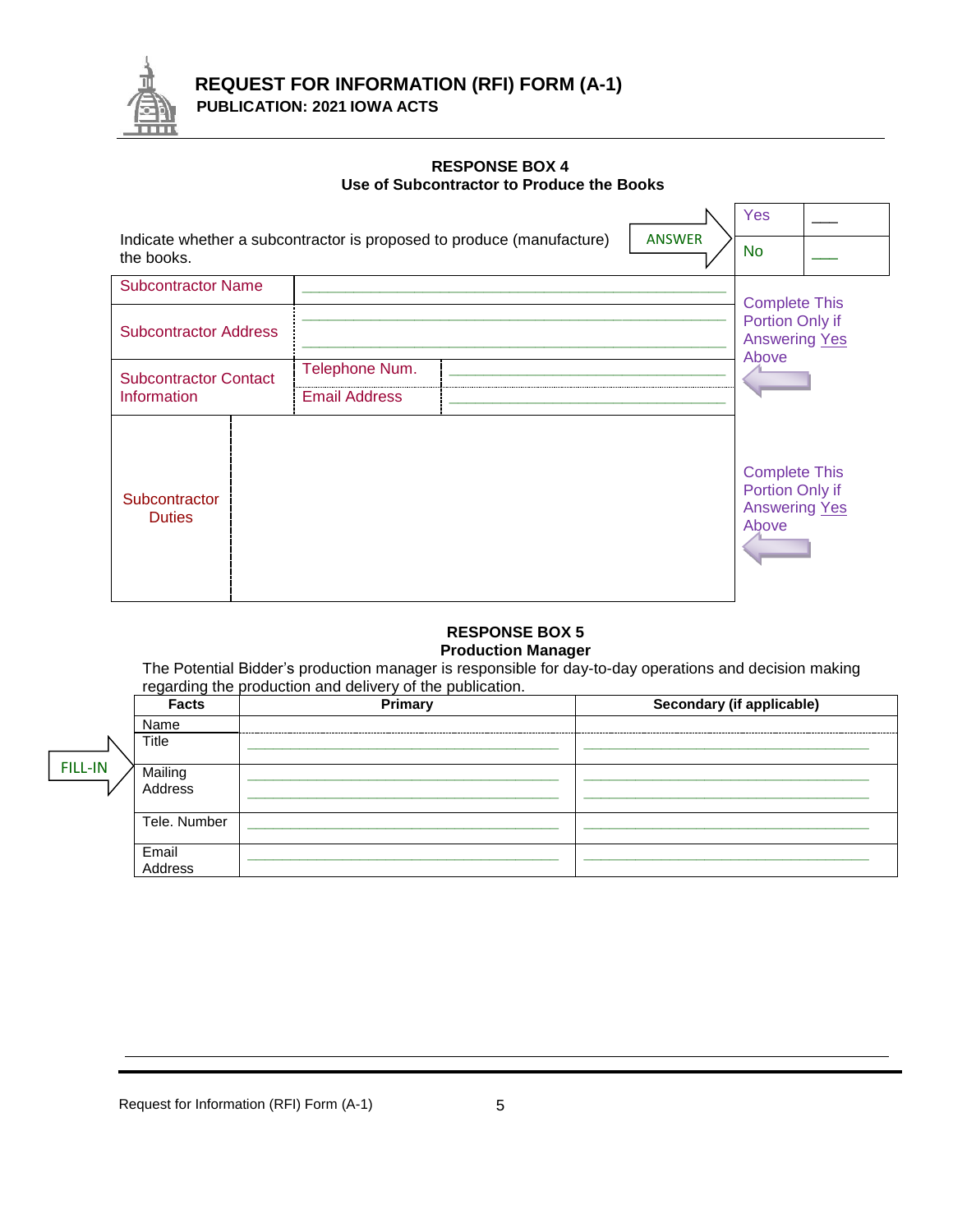

## **RESPONSE BOX 4 Use of Subcontractor to Produce the Books**

|                                                                                                      |                                        |  |                                                                          | Yes                                                                      |  |
|------------------------------------------------------------------------------------------------------|----------------------------------------|--|--------------------------------------------------------------------------|--------------------------------------------------------------------------|--|
| Indicate whether a subcontractor is proposed to produce (manufacture)<br><b>ANSWER</b><br>the books. |                                        |  |                                                                          |                                                                          |  |
| <b>Subcontractor Name</b>                                                                            |                                        |  |                                                                          |                                                                          |  |
| <b>Subcontractor Address</b>                                                                         |                                        |  | <b>Complete This</b><br>Portion Only if<br><b>Answering Yes</b><br>Above |                                                                          |  |
| <b>Subcontractor Contact</b><br>Information                                                          | Telephone Num.<br><b>Email Address</b> |  |                                                                          |                                                                          |  |
| Subcontractor<br><b>Duties</b>                                                                       |                                        |  |                                                                          | <b>Complete This</b><br>Portion Only if<br><b>Answering Yes</b><br>Above |  |

#### **RESPONSE BOX 5 Production Manager**

The Potential Bidder's production manager is responsible for day-to-day operations and decision making regarding the production and delivery of the publication.

|                | <b>Facts</b>       | Primary      | Secondary (if applicable)   |
|----------------|--------------------|--------------|-----------------------------|
|                | Name               | ------------ | --------------------------- |
| <b>FILL-IN</b> | Title              |              |                             |
|                | Mailing<br>Address |              |                             |
|                | Tele, Number       |              |                             |
|                | Email<br>Address   |              |                             |